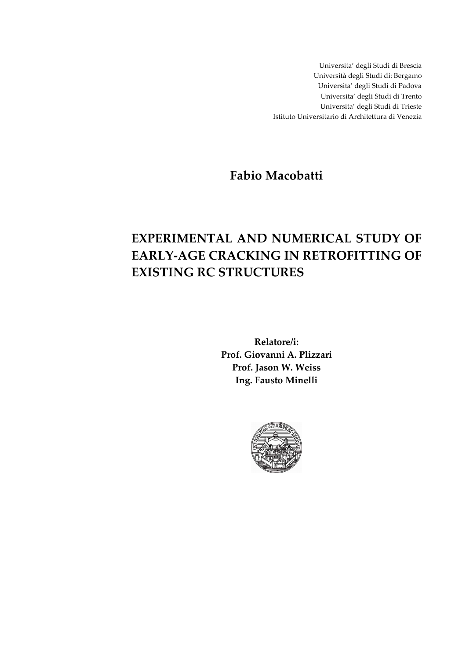Universita' degli Studi di Brescia Università degli Studi di: Bergamo Universita' degli Studi di Padova Universita' degli Studi di Trento Universita' degli Studi di Trieste Istituto Universitario di Architettura di Venezia

**Fabio Macobatti** 

# **EXPERIMENTAL AND NUMERICAL STUDY OF EARLY-AGE CRACKING IN RETROFITTING OF EXISTING RC STRUCTURES**

**Relatore/i: Prof. Giovanni A. Plizzari Prof. Jason W. Weiss Ing. Fausto Minelli** 

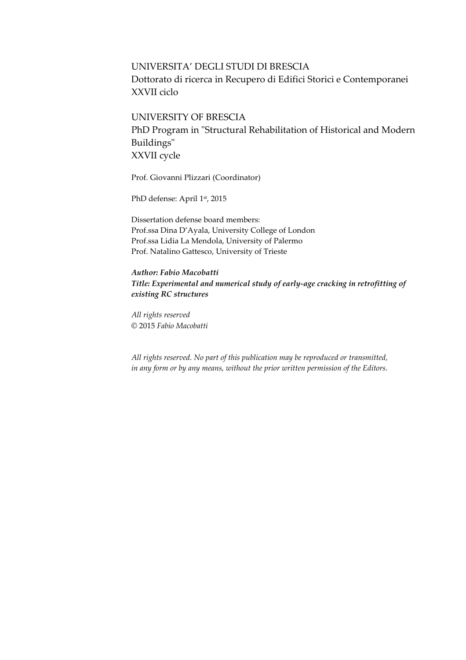## UNIVERSITA' DEGLI STUDI DI BRESCIA Dottorato di ricerca in Recupero di Edifici Storici e Contemporanei XXVII ciclo

### UNIVERSITY OF BRESCIA

PhD Program in "Structural Rehabilitation of Historical and Modern Buildings" XXVII cycle

Prof. Giovanni Plizzari (Coordinator)

PhD defense: April 1st, 2015

Dissertation defense board members: Prof.ssa Dina D'Ayala, University College of London Prof.ssa Lidia La Mendola, University of Palermo Prof. Natalino Gattesco, University of Trieste

*Author: Fabio Macobatti Title: Experimental and numerical study of early-age cracking in retrofitting of existing RC structures* 

*All rights reserved*  © 2015 *Fabio Macobatti*

*All rights reserved. No part of this publication may be reproduced or transmitted, in any form or by any means, without the prior written permission of the Editors.*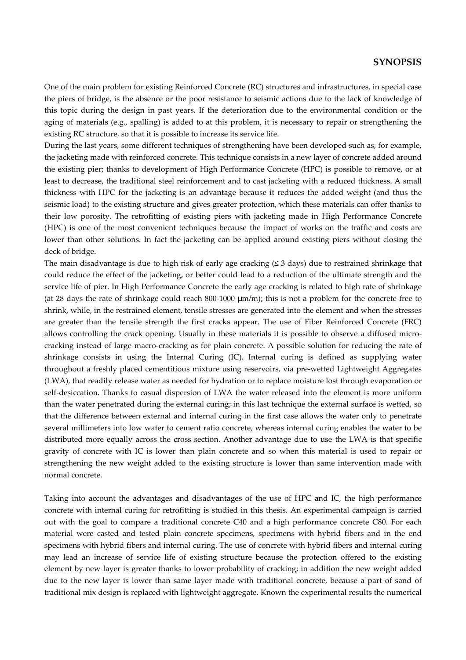#### **SYNOPSIS**

One of the main problem for existing Reinforced Concrete (RC) structures and infrastructures, in special case the piers of bridge, is the absence or the poor resistance to seismic actions due to the lack of knowledge of this topic during the design in past years. If the deterioration due to the environmental condition or the aging of materials (e.g., spalling) is added to at this problem, it is necessary to repair or strengthening the existing RC structure, so that it is possible to increase its service life.

During the last years, some different techniques of strengthening have been developed such as, for example, the jacketing made with reinforced concrete. This technique consists in a new layer of concrete added around the existing pier; thanks to development of High Performance Concrete (HPC) is possible to remove, or at least to decrease, the traditional steel reinforcement and to cast jacketing with a reduced thickness. A small thickness with HPC for the jacketing is an advantage because it reduces the added weight (and thus the seismic load) to the existing structure and gives greater protection, which these materials can offer thanks to their low porosity. The retrofitting of existing piers with jacketing made in High Performance Concrete (HPC) is one of the most convenient techniques because the impact of works on the traffic and costs are lower than other solutions. In fact the jacketing can be applied around existing piers without closing the deck of bridge.

The main disadvantage is due to high risk of early age cracking (≤ 3 days) due to restrained shrinkage that could reduce the effect of the jacketing, or better could lead to a reduction of the ultimate strength and the service life of pier. In High Performance Concrete the early age cracking is related to high rate of shrinkage (at 28 days the rate of shrinkage could reach 800-1000  $\mu$ m/m); this is not a problem for the concrete free to shrink, while, in the restrained element, tensile stresses are generated into the element and when the stresses are greater than the tensile strength the first cracks appear. The use of Fiber Reinforced Concrete (FRC) allows controlling the crack opening. Usually in these materials it is possible to observe a diffused microcracking instead of large macro-cracking as for plain concrete. A possible solution for reducing the rate of shrinkage consists in using the Internal Curing (IC). Internal curing is defined as supplying water throughout a freshly placed cementitious mixture using reservoirs, via pre-wetted Lightweight Aggregates (LWA), that readily release water as needed for hydration or to replace moisture lost through evaporation or self-desiccation. Thanks to casual dispersion of LWA the water released into the element is more uniform than the water penetrated during the external curing; in this last technique the external surface is wetted, so that the difference between external and internal curing in the first case allows the water only to penetrate several millimeters into low water to cement ratio concrete, whereas internal curing enables the water to be distributed more equally across the cross section. Another advantage due to use the LWA is that specific gravity of concrete with IC is lower than plain concrete and so when this material is used to repair or strengthening the new weight added to the existing structure is lower than same intervention made with normal concrete.

Taking into account the advantages and disadvantages of the use of HPC and IC, the high performance concrete with internal curing for retrofitting is studied in this thesis. An experimental campaign is carried out with the goal to compare a traditional concrete C40 and a high performance concrete C80. For each material were casted and tested plain concrete specimens, specimens with hybrid fibers and in the end specimens with hybrid fibers and internal curing. The use of concrete with hybrid fibers and internal curing may lead an increase of service life of existing structure because the protection offered to the existing element by new layer is greater thanks to lower probability of cracking; in addition the new weight added due to the new layer is lower than same layer made with traditional concrete, because a part of sand of traditional mix design is replaced with lightweight aggregate. Known the experimental results the numerical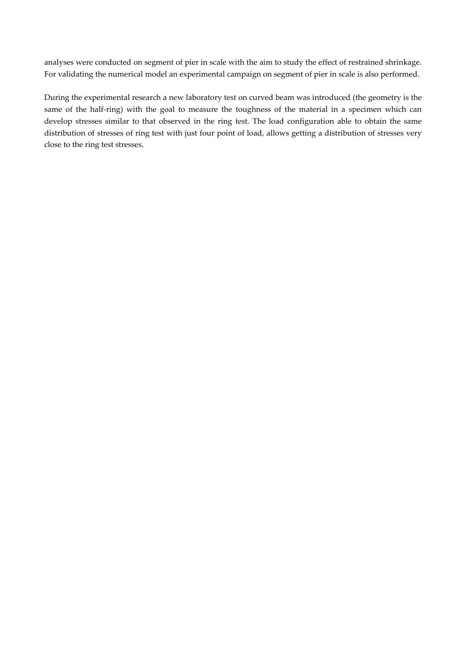analyses were conducted on segment of pier in scale with the aim to study the effect of restrained shrinkage. For validating the numerical model an experimental campaign on segment of pier in scale is also performed.

During the experimental research a new laboratory test on curved beam was introduced (the geometry is the same of the half-ring) with the goal to measure the toughness of the material in a specimen which can develop stresses similar to that observed in the ring test. The load configuration able to obtain the same distribution of stresses of ring test with just four point of load, allows getting a distribution of stresses very close to the ring test stresses.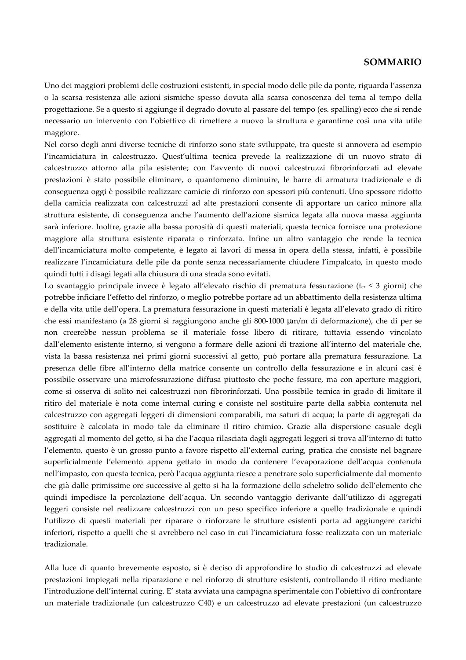#### **SOMMARIO**

Uno dei maggiori problemi delle costruzioni esistenti, in special modo delle pile da ponte, riguarda l'assenza o la scarsa resistenza alle azioni sismiche spesso dovuta alla scarsa conoscenza del tema al tempo della progettazione. Se a questo si aggiunge il degrado dovuto al passare del tempo (es. spalling) ecco che si rende necessario un intervento con l'obiettivo di rimettere a nuovo la struttura e garantirne così una vita utile maggiore.

Nel corso degli anni diverse tecniche di rinforzo sono state sviluppate, tra queste si annovera ad esempio l'incamiciatura in calcestruzzo. Quest'ultima tecnica prevede la realizzazione di un nuovo strato di calcestruzzo attorno alla pila esistente; con l'avvento di nuovi calcestruzzi fibrorinforzati ad elevate prestazioni è stato possibile eliminare, o quantomeno diminuire, le barre di armatura tradizionale e di conseguenza oggi è possibile realizzare camicie di rinforzo con spessori più contenuti. Uno spessore ridotto della camicia realizzata con calcestruzzi ad alte prestazioni consente di apportare un carico minore alla struttura esistente, di conseguenza anche l'aumento dell'azione sismica legata alla nuova massa aggiunta sarà inferiore. Inoltre, grazie alla bassa porosità di questi materiali, questa tecnica fornisce una protezione maggiore alla struttura esistente riparata o rinforzata. Infine un altro vantaggio che rende la tecnica dell'incamiciatura molto competente, è legato ai lavori di messa in opera della stessa, infatti, è possibile realizzare l'incamiciatura delle pile da ponte senza necessariamente chiudere l'impalcato, in questo modo quindi tutti i disagi legati alla chiusura di una strada sono evitati.

Lo svantaggio principale invece è legato all'elevato rischio di prematura fessurazione (t<sub>cr</sub> ≤ 3 giorni) che potrebbe inficiare l'effetto del rinforzo, o meglio potrebbe portare ad un abbattimento della resistenza ultima e della vita utile dell'opera. La prematura fessurazione in questi materiali è legata all'elevato grado di ritiro che essi manifestano (a 28 giorni si raggiungono anche gli 800-1000 µm/m di deformazione), che di per se non creerebbe nessun problema se il materiale fosse libero di ritirare, tuttavia essendo vincolato dall'elemento esistente interno, si vengono a formare delle azioni di trazione all'interno del materiale che, vista la bassa resistenza nei primi giorni successivi al getto, può portare alla prematura fessurazione. La presenza delle fibre all'interno della matrice consente un controllo della fessurazione e in alcuni casi è possibile osservare una microfessurazione diffusa piuttosto che poche fessure, ma con aperture maggiori, come si osserva di solito nei calcestruzzi non fibrorinforzati. Una possibile tecnica in grado di limitare il ritiro del materiale è nota come internal curing e consiste nel sostituire parte della sabbia contenuta nel calcestruzzo con aggregati leggeri di dimensioni comparabili, ma saturi di acqua; la parte di aggregati da sostituire è calcolata in modo tale da eliminare il ritiro chimico. Grazie alla dispersione casuale degli aggregati al momento del getto, si ha che l'acqua rilasciata dagli aggregati leggeri si trova all'interno di tutto l'elemento, questo è un grosso punto a favore rispetto all'external curing, pratica che consiste nel bagnare superficialmente l'elemento appena gettato in modo da contenere l'evaporazione dell'acqua contenuta nell'impasto, con questa tecnica, però l'acqua aggiunta riesce a penetrare solo superficialmente dal momento che già dalle primissime ore successive al getto si ha la formazione dello scheletro solido dell'elemento che quindi impedisce la percolazione dell'acqua. Un secondo vantaggio derivante dall'utilizzo di aggregati leggeri consiste nel realizzare calcestruzzi con un peso specifico inferiore a quello tradizionale e quindi l'utilizzo di questi materiali per riparare o rinforzare le strutture esistenti porta ad aggiungere carichi inferiori, rispetto a quelli che si avrebbero nel caso in cui l'incamiciatura fosse realizzata con un materiale tradizionale.

Alla luce di quanto brevemente esposto, si è deciso di approfondire lo studio di calcestruzzi ad elevate prestazioni impiegati nella riparazione e nel rinforzo di strutture esistenti, controllando il ritiro mediante l'introduzione dell'internal curing. E' stata avviata una campagna sperimentale con l'obiettivo di confrontare un materiale tradizionale (un calcestruzzo C40) e un calcestruzzo ad elevate prestazioni (un calcestruzzo